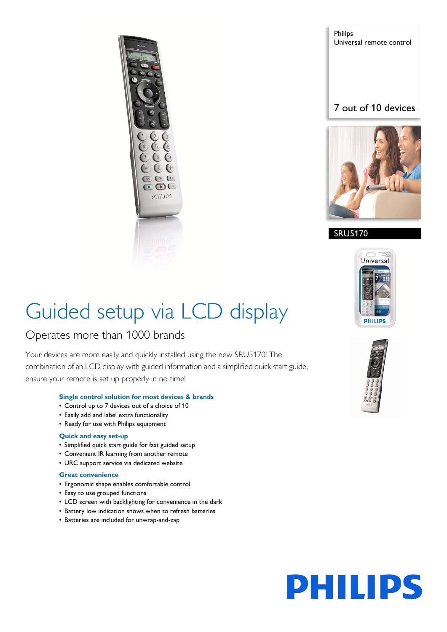

Philips Universal remote control

#### 7 out of 10 devices



#### SRU5170



## Guided setup via LCD display

#### Operates more than 1000 brands

Your devices are more easily and quickly installed using the new SRU5170! The combination of an LCD display with guided information and a simplified quick start guide, ensure your remote is set up properly in no time!

#### **Single control solution for most devices & brands**

- Control up to 7 devices out of a choice of 10
- Easily add and label extra functionality
- Ready for use with Philips equipment

#### **Quick and easy set-up**

- Simplified quick start guide for fast guided setup
- Convenient IR learning from another remote
- URC support service via dedicated website

#### **Great convenience**

- Ergonomic shape enables comfortable control
- Easy to use grouped functions
- LCD screen with backlighting for convenience in the dark
- Battery low indication shows when to refresh batteries
- Batteries are included for unwrap-and-zap



# **PHILIPS**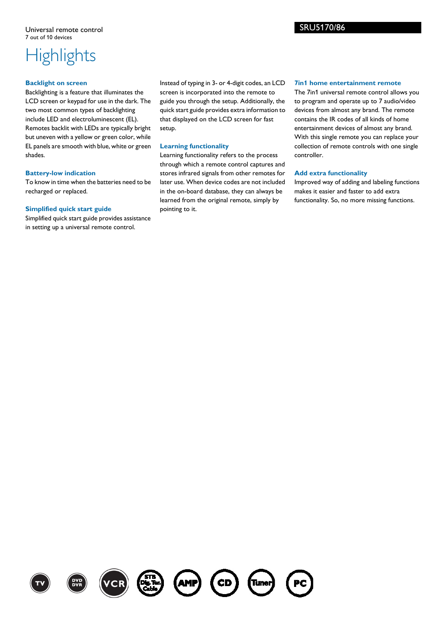## **Highlights**

#### **Backlight on screen**

Backlighting is a feature that illuminates the LCD screen or keypad for use in the dark. The two most common types of backlighting include LED and electroluminescent (EL). Remotes backlit with LEDs are typically bright but uneven with a yellow or green color, while EL panels are smooth with blue, white or green shades.

#### **Battery-low indication**

To know in time when the batteries need to be recharged or replaced.

#### **Simplified quick start guide**

Simplified quick start guide provides assistance in setting up a universal remote control.

Instead of typing in 3- or 4-digit codes, an LCD screen is incorporated into the remote to guide you through the setup. Additionally, the quick start guide provides extra information to that displayed on the LCD screen for fast setup.

#### **Learning functionality**

Learning functionality refers to the process through which a remote control captures and stores infrared signals from other remotes for later use. When device codes are not included in the on-board database, they can always be learned from the original remote, simply by pointing to it.

#### **7in1 home entertainment remote**

The 7in1 universal remote control allows you to program and operate up to 7 audio/video devices from almost any brand. The remote contains the IR codes of all kinds of home entertainment devices of almost any brand. With this single remote you can replace your collection of remote controls with one single controller.

#### **Add extra functionality**

Improved way of adding and labeling functions makes it easier and faster to add extra functionality. So, no more missing functions.